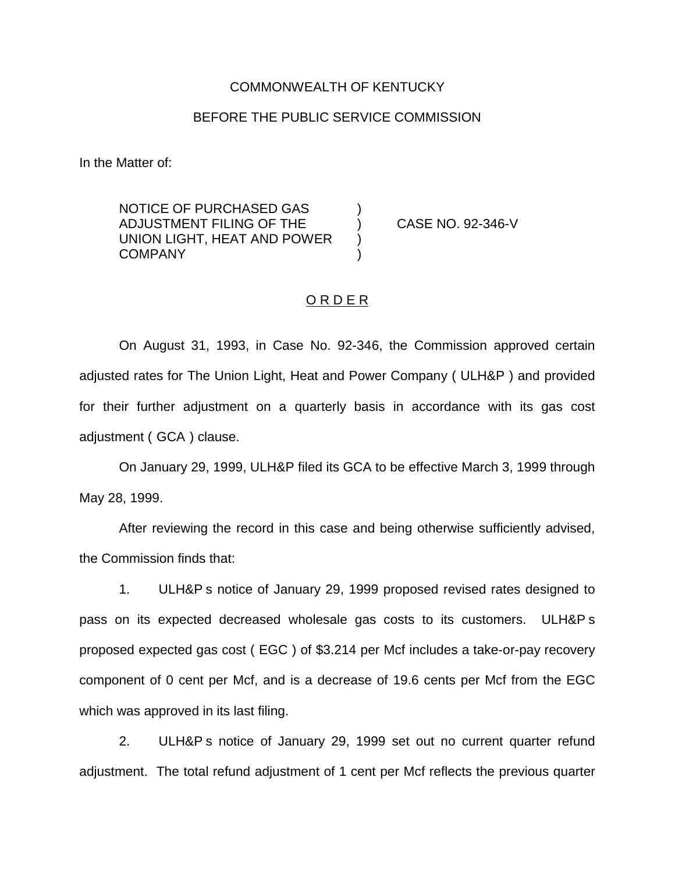#### COMMONWEALTH OF KENTUCKY

#### BEFORE THE PUBLIC SERVICE COMMISSION

In the Matter of:

NOTICE OF PURCHASED GAS ) ADJUSTMENT FILING OF THE ) CASE NO. 92-346-V UNION LIGHT, HEAT AND POWER **COMPANY** 

### O R D E R

On August 31, 1993, in Case No. 92-346, the Commission approved certain adjusted rates for The Union Light, Heat and Power Company ( ULH&P ) and provided for their further adjustment on a quarterly basis in accordance with its gas cost adjustment ( GCA ) clause.

On January 29, 1999, ULH&P filed its GCA to be effective March 3, 1999 through May 28, 1999.

After reviewing the record in this case and being otherwise sufficiently advised, the Commission finds that:

1. ULH&P s notice of January 29, 1999 proposed revised rates designed to pass on its expected decreased wholesale gas costs to its customers. ULH&P s proposed expected gas cost ( EGC ) of \$3.214 per Mcf includes a take-or-pay recovery component of 0 cent per Mcf, and is a decrease of 19.6 cents per Mcf from the EGC which was approved in its last filing.

2. ULH&P s notice of January 29, 1999 set out no current quarter refund adjustment. The total refund adjustment of 1 cent per Mcf reflects the previous quarter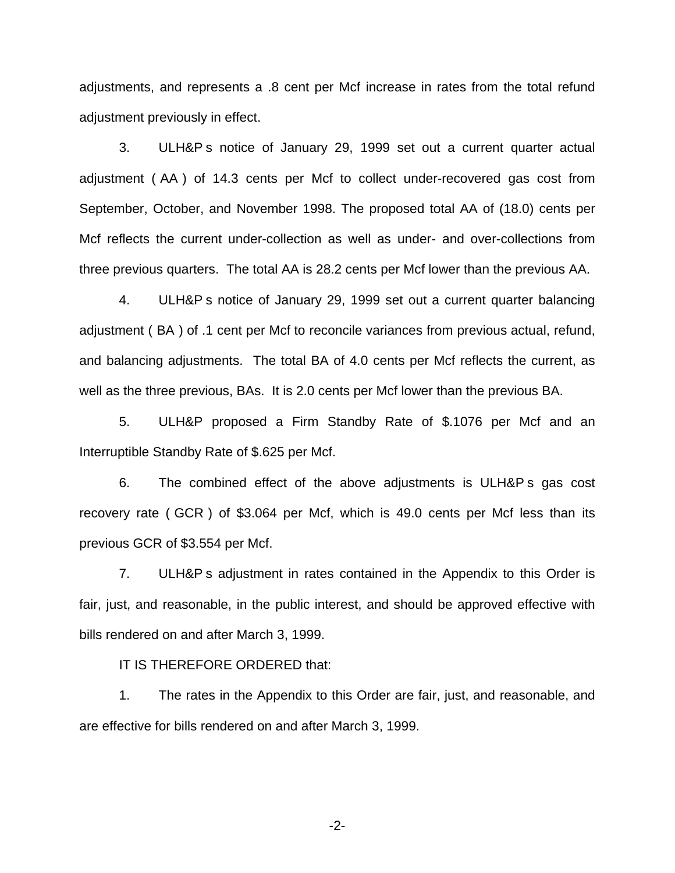adjustments, and represents a .8 cent per Mcf increase in rates from the total refund adjustment previously in effect.

3. ULH&P s notice of January 29, 1999 set out a current quarter actual adjustment ( AA ) of 14.3 cents per Mcf to collect under-recovered gas cost from September, October, and November 1998. The proposed total AA of (18.0) cents per Mcf reflects the current under-collection as well as under- and over-collections from three previous quarters. The total AA is 28.2 cents per Mcf lower than the previous AA.

4. ULH&P s notice of January 29, 1999 set out a current quarter balancing adjustment ( BA ) of .1 cent per Mcf to reconcile variances from previous actual, refund, and balancing adjustments. The total BA of 4.0 cents per Mcf reflects the current, as well as the three previous, BAs. It is 2.0 cents per Mcf lower than the previous BA.

5. ULH&P proposed a Firm Standby Rate of \$.1076 per Mcf and an Interruptible Standby Rate of \$.625 per Mcf.

6. The combined effect of the above adjustments is ULH&P s gas cost recovery rate ( GCR ) of \$3.064 per Mcf, which is 49.0 cents per Mcf less than its previous GCR of \$3.554 per Mcf.

7. ULH&P s adjustment in rates contained in the Appendix to this Order is fair, just, and reasonable, in the public interest, and should be approved effective with bills rendered on and after March 3, 1999.

IT IS THEREFORE ORDERED that:

1. The rates in the Appendix to this Order are fair, just, and reasonable, and are effective for bills rendered on and after March 3, 1999.

-2-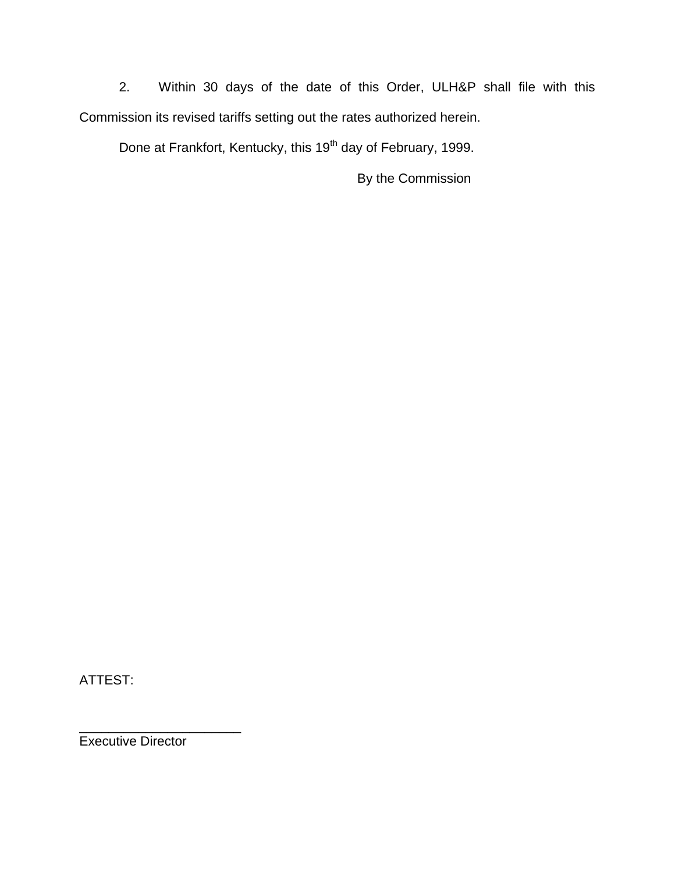2. Within 30 days of the date of this Order, ULH&P shall file with this Commission its revised tariffs setting out the rates authorized herein.

Done at Frankfort, Kentucky, this 19<sup>th</sup> day of February, 1999.

By the Commission

ATTEST:

Executive Director

\_\_\_\_\_\_\_\_\_\_\_\_\_\_\_\_\_\_\_\_\_\_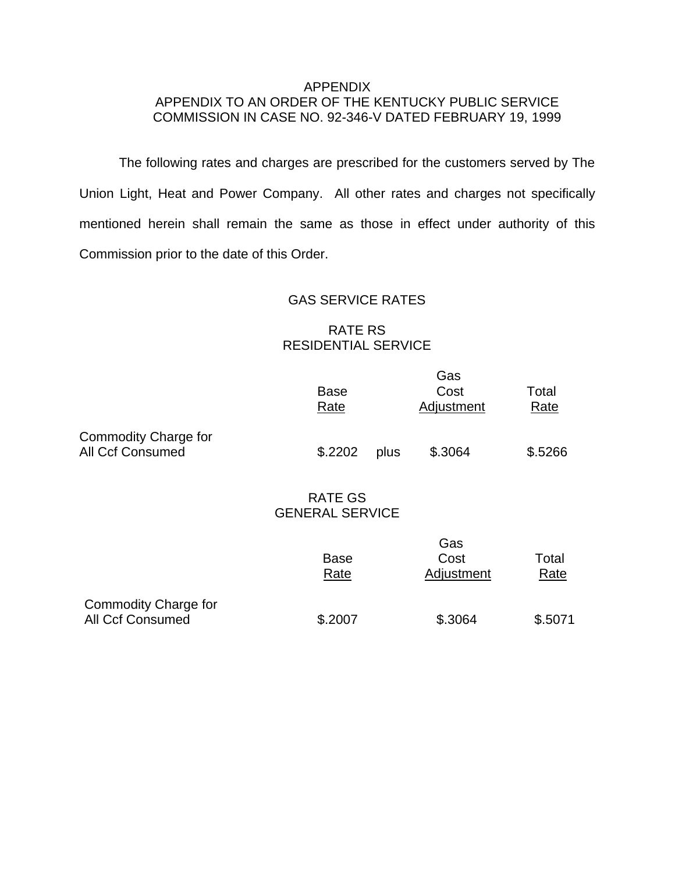### APPENDIX APPENDIX TO AN ORDER OF THE KENTUCKY PUBLIC SERVICE COMMISSION IN CASE NO. 92-346-V DATED FEBRUARY 19, 1999

The following rates and charges are prescribed for the customers served by The Union Light, Heat and Power Company. All other rates and charges not specifically mentioned herein shall remain the same as those in effect under authority of this Commission prior to the date of this Order.

## GAS SERVICE RATES

# RATE RS RESIDENTIAL SERVICE

|                                                        |                                          | Gas        |             |
|--------------------------------------------------------|------------------------------------------|------------|-------------|
|                                                        | <b>Base</b>                              | Cost       | Total       |
|                                                        | Rate                                     | Adjustment | <b>Rate</b> |
| <b>Commodity Charge for</b><br><b>All Ccf Consumed</b> | \$.2202<br>plus                          | \$.3064    | \$.5266     |
|                                                        | <b>RATE GS</b><br><b>GENERAL SERVICE</b> |            |             |
|                                                        |                                          | Gas        |             |
|                                                        | <b>Base</b>                              | Cost       | Total       |
|                                                        | Rate                                     | Adjustment | <b>Rate</b> |
| <b>Commodity Charge for</b>                            |                                          |            |             |
| <b>All Ccf Consumed</b>                                | \$.2007                                  | \$.3064    | \$.5071     |